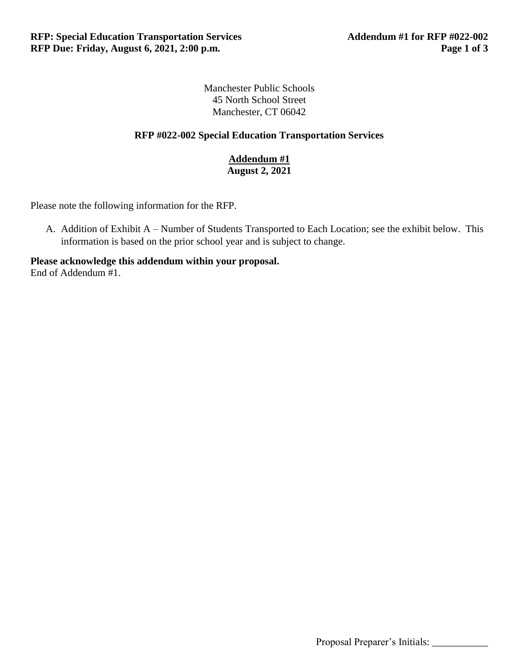Manchester Public Schools 45 North School Street Manchester, CT 06042

## **RFP #022-002 Special Education Transportation Services**

**Addendum #1 August 2, 2021**

Please note the following information for the RFP.

A. Addition of Exhibit A – Number of Students Transported to Each Location; see the exhibit below. This information is based on the prior school year and is subject to change.

**Please acknowledge this addendum within your proposal.** End of Addendum #1.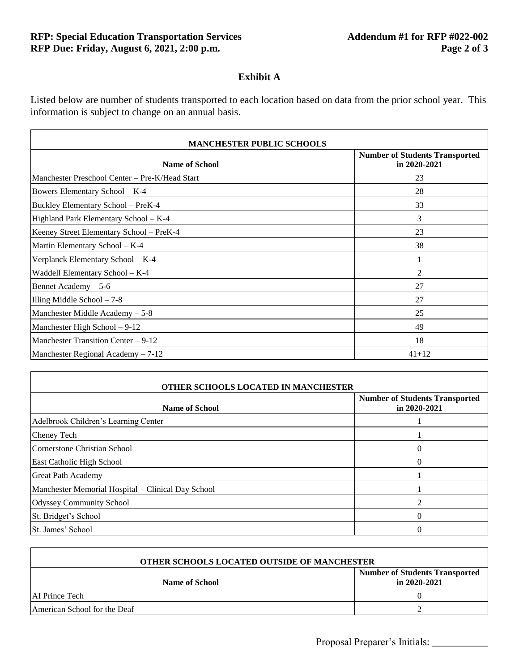$\overline{1}$ 

## **Exhibit A**

Listed below are number of students transported to each location based on data from the prior school year. This information is subject to change on an annual basis.

| <b>Name of School</b>                          | <b>Number of Students Transported</b><br>in 2020-2021 |
|------------------------------------------------|-------------------------------------------------------|
| Manchester Preschool Center - Pre-K/Head Start | 23                                                    |
| Bowers Elementary School - K-4                 | 28                                                    |
| Buckley Elementary School - PreK-4             | 33                                                    |
| Highland Park Elementary School - K-4          | 3                                                     |
| Keeney Street Elementary School - PreK-4       | 23                                                    |
| Martin Elementary School - K-4                 | 38                                                    |
| Verplanck Elementary School - K-4              |                                                       |
| Waddell Elementary School – K-4                | $\overline{2}$                                        |
| Bennet Academy $-5-6$                          | 27                                                    |
| Illing Middle School $-7-8$                    | 27                                                    |
| Manchester Middle Academy $-5-8$               | 25                                                    |
| Manchester High School $-9-12$                 | 49                                                    |
| Manchester Transition Center – 9-12            | 18                                                    |
| Manchester Regional Academy - 7-12             | $41 + 12$                                             |

| OTHER SCHOOLS LOCATED IN MANCHESTER                |                                                           |  |
|----------------------------------------------------|-----------------------------------------------------------|--|
| <b>Name of School</b>                              | <b>Number of Students Transported</b><br>in $2020 - 2021$ |  |
| Adelbrook Children's Learning Center               |                                                           |  |
| Cheney Tech                                        |                                                           |  |
| Cornerstone Christian School                       |                                                           |  |
| East Catholic High School                          |                                                           |  |
| Great Path Academy                                 |                                                           |  |
| Manchester Memorial Hospital – Clinical Day School |                                                           |  |
| <b>Odyssey Community School</b>                    |                                                           |  |
| St. Bridget's School                               |                                                           |  |
| St. James' School                                  |                                                           |  |

| OTHER SCHOOLS LOCATED OUTSIDE OF MANCHESTER |                                                           |
|---------------------------------------------|-----------------------------------------------------------|
| <b>Name of School</b>                       | <b>Number of Students Transported</b><br>in $2020 - 2021$ |
| AI Prince Tech                              |                                                           |
| American School for the Deaf                |                                                           |